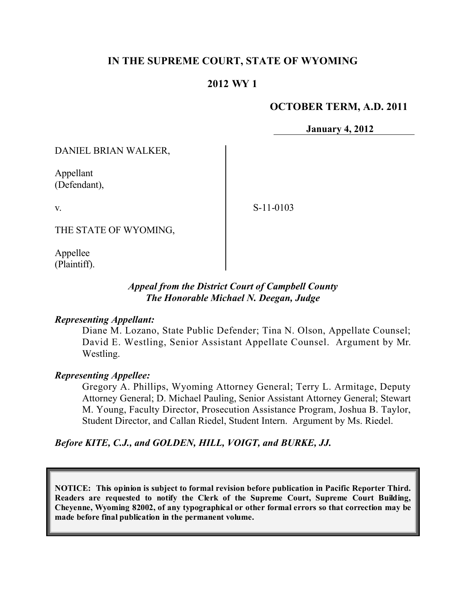# **IN THE SUPREME COURT, STATE OF WYOMING**

# **2012 WY 1**

### **OCTOBER TERM, A.D. 2011**

**January 4, 2012**

DANIEL BRIAN WALKER,

Appellant (Defendant),

v.

S-11-0103

THE STATE OF WYOMING,

Appellee (Plaintiff).

### *Appeal from the District Court of Campbell County The Honorable Michael N. Deegan, Judge*

#### *Representing Appellant:*

Diane M. Lozano, State Public Defender; Tina N. Olson, Appellate Counsel; David E. Westling, Senior Assistant Appellate Counsel. Argument by Mr. Westling.

## *Representing Appellee:*

Gregory A. Phillips, Wyoming Attorney General; Terry L. Armitage, Deputy Attorney General; D. Michael Pauling, Senior Assistant Attorney General; Stewart M. Young, Faculty Director, Prosecution Assistance Program, Joshua B. Taylor, Student Director, and Callan Riedel, Student Intern. Argument by Ms. Riedel.

*Before KITE, C.J., and GOLDEN, HILL, VOIGT, and BURKE, JJ.*

**NOTICE: This opinion is subject to formal revision before publication in Pacific Reporter Third. Readers are requested to notify the Clerk of the Supreme Court, Supreme Court Building, Cheyenne, Wyoming 82002, of any typographical or other formal errors so that correction may be made before final publication in the permanent volume.**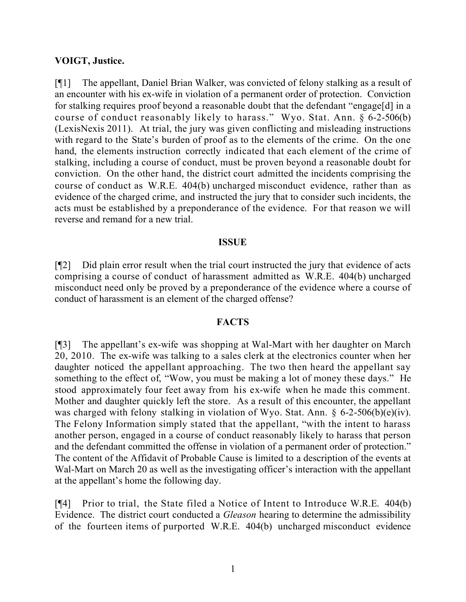#### **VOIGT, Justice.**

[¶1] The appellant, Daniel Brian Walker, was convicted of felony stalking as a result of an encounter with his ex-wife in violation of a permanent order of protection. Conviction for stalking requires proof beyond a reasonable doubt that the defendant "engage[d] in a course of conduct reasonably likely to harass." Wyo. Stat. Ann. § 6-2-506(b) (LexisNexis 2011). At trial, the jury was given conflicting and misleading instructions with regard to the State's burden of proof as to the elements of the crime. On the one hand, the elements instruction correctly indicated that each element of the crime of stalking, including a course of conduct, must be proven beyond a reasonable doubt for conviction. On the other hand, the district court admitted the incidents comprising the course of conduct as W.R.E. 404(b) uncharged misconduct evidence, rather than as evidence of the charged crime, and instructed the jury that to consider such incidents, the acts must be established by a preponderance of the evidence. For that reason we will reverse and remand for a new trial.

#### **ISSUE**

[¶2] Did plain error result when the trial court instructed the jury that evidence of acts comprising a course of conduct of harassment admitted as W.R.E. 404(b) uncharged misconduct need only be proved by a preponderance of the evidence where a course of conduct of harassment is an element of the charged offense?

#### **FACTS**

[¶3] The appellant's ex-wife was shopping at Wal-Mart with her daughter on March 20, 2010. The ex-wife was talking to a sales clerk at the electronics counter when her daughter noticed the appellant approaching. The two then heard the appellant say something to the effect of, "Wow, you must be making a lot of money these days." He stood approximately four feet away from his ex-wife when he made this comment. Mother and daughter quickly left the store. As a result of this encounter, the appellant was charged with felony stalking in violation of Wyo. Stat. Ann. § 6-2-506(b)(e)(iv). The Felony Information simply stated that the appellant, "with the intent to harass another person, engaged in a course of conduct reasonably likely to harass that person and the defendant committed the offense in violation of a permanent order of protection." The content of the Affidavit of Probable Cause is limited to a description of the events at Wal-Mart on March 20 as well as the investigating officer's interaction with the appellant at the appellant's home the following day.

[¶4] Prior to trial, the State filed a Notice of Intent to Introduce W.R.E. 404(b) Evidence. The district court conducted a *Gleason* hearing to determine the admissibility of the fourteen items of purported W.R.E. 404(b) uncharged misconduct evidence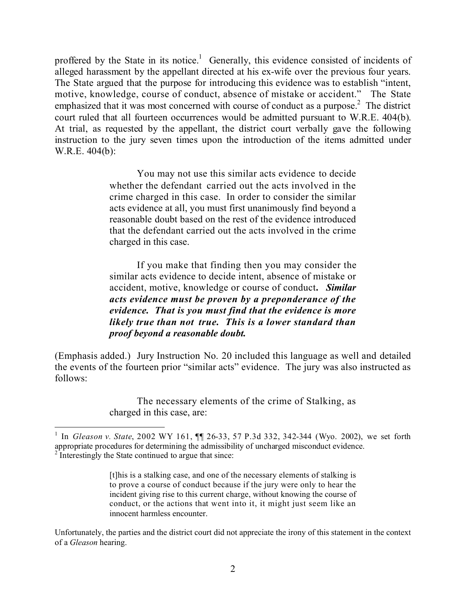proffered by the State in its notice.<sup>1</sup> Generally, this evidence consisted of incidents of alleged harassment by the appellant directed at his ex-wife over the previous four years. The State argued that the purpose for introducing this evidence was to establish "intent, motive, knowledge, course of conduct, absence of mistake or accident." The State emphasized that it was most concerned with course of conduct as a purpose.<sup>2</sup> The district court ruled that all fourteen occurrences would be admitted pursuant to W.R.E. 404(b). At trial, as requested by the appellant, the district court verbally gave the following instruction to the jury seven times upon the introduction of the items admitted under W.R.E. 404(b):

> You may not use this similar acts evidence to decide whether the defendant carried out the acts involved in the crime charged in this case. In order to consider the similar acts evidence at all, you must first unanimously find beyond a reasonable doubt based on the rest of the evidence introduced that the defendant carried out the acts involved in the crime charged in this case.

> If you make that finding then you may consider the similar acts evidence to decide intent, absence of mistake or accident, motive, knowledge or course of conduct**.** *Similar acts evidence must be proven by a preponderance of the evidence. That is you must find that the evidence is more likely true than not true. This is a lower standard than proof beyond a reasonable doubt.*

(Emphasis added.) Jury Instruction No. 20 included this language as well and detailed the events of the fourteen prior "similar acts" evidence. The jury was also instructed as follows:

> The necessary elements of the crime of Stalking, as charged in this case, are:

 $\overline{a}$ 

[t]his is a stalking case, and one of the necessary elements of stalking is to prove a course of conduct because if the jury were only to hear the incident giving rise to this current charge, without knowing the course of conduct, or the actions that went into it, it might just seem like an innocent harmless encounter.

Unfortunately, the parties and the district court did not appreciate the irony of this statement in the context of a *Gleason* hearing.

<sup>&</sup>lt;sup>1</sup> In *Gleason v. State*, 2002 WY 161,  $\P$  26-33, 57 P.3d 332, 342-344 (Wyo. 2002), we set forth appropriate procedures for determining the admissibility of uncharged misconduct evidence.  $2^{2}$  Interestingly the State continued to argue that since: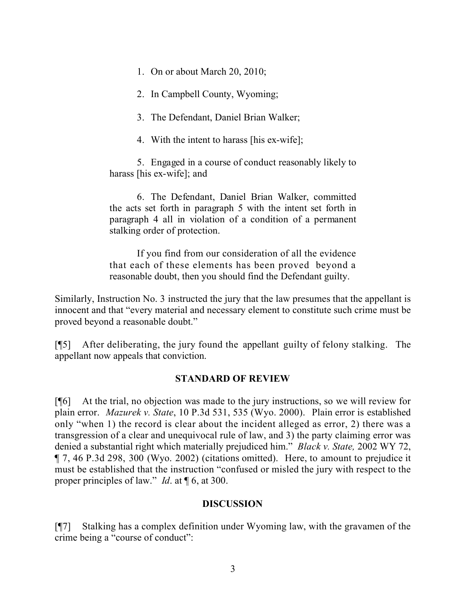1. On or about March 20, 2010;

2. In Campbell County, Wyoming;

3. The Defendant, Daniel Brian Walker;

4. With the intent to harass [his ex-wife];

5. Engaged in a course of conduct reasonably likely to harass [his ex-wife]; and

6. The Defendant, Daniel Brian Walker, committed the acts set forth in paragraph 5 with the intent set forth in paragraph 4 all in violation of a condition of a permanent stalking order of protection.

If you find from our consideration of all the evidence that each of these elements has been proved beyond a reasonable doubt, then you should find the Defendant guilty.

Similarly, Instruction No. 3 instructed the jury that the law presumes that the appellant is innocent and that "every material and necessary element to constitute such crime must be proved beyond a reasonable doubt."

[¶5] After deliberating, the jury found the appellant guilty of felony stalking. The appellant now appeals that conviction.

## **STANDARD OF REVIEW**

[¶6] At the trial, no objection was made to the jury instructions, so we will review for plain error. *Mazurek v. State*, 10 P.3d 531, 535 (Wyo. 2000). Plain error is established only "when 1) the record is clear about the incident alleged as error, 2) there was a transgression of a clear and unequivocal rule of law, and 3) the party claiming error was denied a substantial right which materially prejudiced him." *Black v. State,* 2002 WY 72, ¶ 7, 46 P.3d 298, 300 (Wyo. 2002) (citations omitted). Here, to amount to prejudice it must be established that the instruction "confused or misled the jury with respect to the proper principles of law." *Id*. at ¶ 6, at 300.

#### **DISCUSSION**

[¶7] Stalking has a complex definition under Wyoming law, with the gravamen of the crime being a "course of conduct":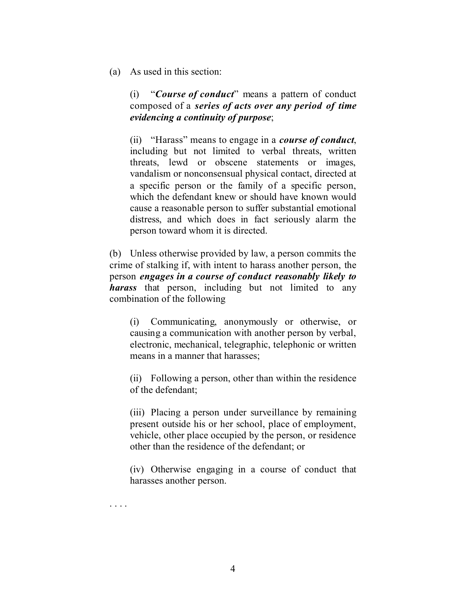(a) As used in this section:

(i) "*Course of conduct*" means a pattern of conduct composed of a *series of acts over any period of time evidencing a continuity of purpose*;

(ii) "Harass" means to engage in a *course of conduct*, including but not limited to verbal threats, written threats, lewd or obscene statements or images, vandalism or nonconsensual physical contact, directed at a specific person or the family of a specific person, which the defendant knew or should have known would cause a reasonable person to suffer substantial emotional distress, and which does in fact seriously alarm the person toward whom it is directed.

(b) Unless otherwise provided by law, a person commits the crime of stalking if, with intent to harass another person, the person *engages in a course of conduct reasonably likely to harass* that person, including but not limited to any combination of the following

(i) Communicating, anonymously or otherwise, or causing a communication with another person by verbal, electronic, mechanical, telegraphic, telephonic or written means in a manner that harasses;

(ii) Following a person, other than within the residence of the defendant;

(iii) Placing a person under surveillance by remaining present outside his or her school, place of employment, vehicle, other place occupied by the person, or residence other than the residence of the defendant; or

(iv) Otherwise engaging in a course of conduct that harasses another person.

. . . .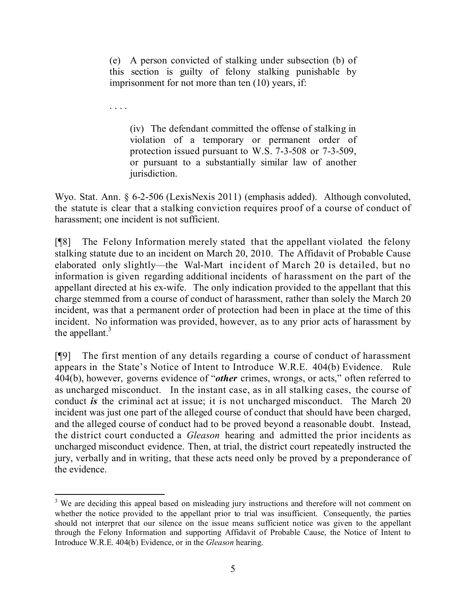(e) A person convicted of stalking under subsection (b) of this section is guilty of felony stalking punishable by imprisonment for not more than ten (10) years, if:

(iv) The defendant committed the offense of stalking in violation of a temporary or permanent order of protection issued pursuant to W.S. 7-3-508 or 7-3-509, or pursuant to a substantially similar law of another jurisdiction.

Wyo. Stat. Ann. § 6-2-506 (LexisNexis 2011) (emphasis added). Although convoluted, the statute is clear that a stalking conviction requires proof of a course of conduct of harassment; one incident is not sufficient.

[¶8] The Felony Information merely stated that the appellant violated the felony stalking statute due to an incident on March 20, 2010. The Affidavit of Probable Cause elaborated only slightly—the Wal-Mart incident of March 20 is detailed, but no information is given regarding additional incidents of harassment on the part of the appellant directed at his ex-wife. The only indication provided to the appellant that this charge stemmed from a course of conduct of harassment, rather than solely the March 20 incident, was that a permanent order of protection had been in place at the time of this incident. No information was provided, however, as to any prior acts of harassment by the appellant. $3$ 

[¶9] The first mention of any details regarding a course of conduct of harassment appears in the State's Notice of Intent to Introduce W.R.E. 404(b) Evidence. Rule 404(b), however, governs evidence of "*other* crimes, wrongs, or acts," often referred to as uncharged misconduct. In the instant case, as in all stalking cases, the course of conduct *is* the criminal act at issue; it is not uncharged misconduct. The March 20 incident was just one part of the alleged course of conduct that should have been charged, and the alleged course of conduct had to be proved beyond a reasonable doubt. Instead, the district court conducted a *Gleason* hearing and admitted the prior incidents as uncharged misconduct evidence. Then, at trial, the district court repeatedly instructed the jury, verbally and in writing, that these acts need only be proved by a preponderance of the evidence.

l <sup>3</sup> We are deciding this appeal based on misleading jury instructions and therefore will not comment on whether the notice provided to the appellant prior to trial was insufficient. Consequently, the parties should not interpret that our silence on the issue means sufficient notice was given to the appellant through the Felony Information and supporting Affidavit of Probable Cause, the Notice of Intent to Introduce W.R.E. 404(b) Evidence, or in the *Gleason* hearing.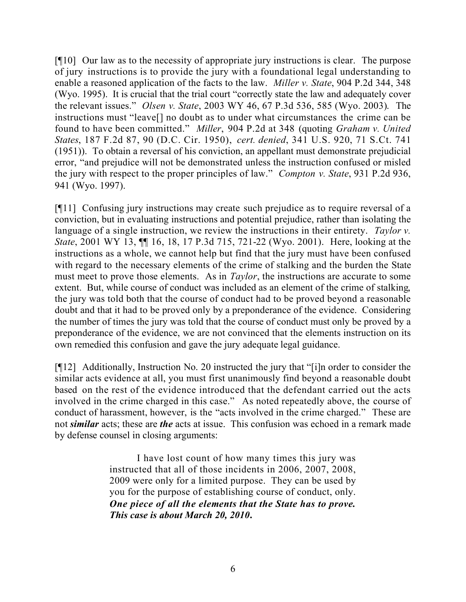[¶10] Our law as to the necessity of appropriate jury instructions is clear. The purpose of jury instructions is to provide the jury with a foundational legal understanding to enable a reasoned application of the facts to the law. *Miller v. State*, 904 P.2d 344, 348 (Wyo. 1995). It is crucial that the trial court "correctly state the law and adequately cover the relevant issues." *Olsen v. State*, 2003 WY 46, 67 P.3d 536, 585 (Wyo. 2003). The instructions must "leave[] no doubt as to under what circumstances the crime can be found to have been committed." *Miller*, 904 P.2d at 348 (quoting *Graham v. United States*, 187 F.2d 87, 90 (D.C. Cir. 1950), *cert. denied*, 341 U.S. 920, 71 S.Ct. 741 (1951)). To obtain a reversal of his conviction, an appellant must demonstrate prejudicial error, "and prejudice will not be demonstrated unless the instruction confused or misled the jury with respect to the proper principles of law." *Compton v. State*, 931 P.2d 936, 941 (Wyo. 1997).

[¶11] Confusing jury instructions may create such prejudice as to require reversal of a conviction, but in evaluating instructions and potential prejudice, rather than isolating the language of a single instruction, we review the instructions in their entirety. *Taylor v. State*, 2001 WY 13, ¶¶ 16, 18, 17 P.3d 715, 721-22 (Wyo. 2001). Here, looking at the instructions as a whole, we cannot help but find that the jury must have been confused with regard to the necessary elements of the crime of stalking and the burden the State must meet to prove those elements. As in *Taylor*, the instructions are accurate to some extent. But, while course of conduct was included as an element of the crime of stalking, the jury was told both that the course of conduct had to be proved beyond a reasonable doubt and that it had to be proved only by a preponderance of the evidence. Considering the number of times the jury was told that the course of conduct must only be proved by a preponderance of the evidence, we are not convinced that the elements instruction on its own remedied this confusion and gave the jury adequate legal guidance.

[¶12] Additionally, Instruction No. 20 instructed the jury that "[i]n order to consider the similar acts evidence at all, you must first unanimously find beyond a reasonable doubt based on the rest of the evidence introduced that the defendant carried out the acts involved in the crime charged in this case." As noted repeatedly above, the course of conduct of harassment, however, is the "acts involved in the crime charged." These are not *similar* acts; these are *the* acts at issue. This confusion was echoed in a remark made by defense counsel in closing arguments:

> I have lost count of how many times this jury was instructed that all of those incidents in 2006, 2007, 2008, 2009 were only for a limited purpose. They can be used by you for the purpose of establishing course of conduct, only. *One piece of all the elements that the State has to prove. This case is about March 20, 2010***.**